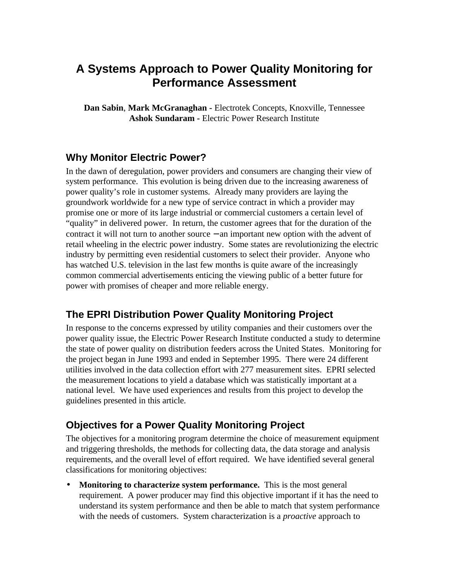# **A Systems Approach to Power Quality Monitoring for Performance Assessment**

**Dan Sabin**, **Mark McGranaghan -** Electrotek Concepts, Knoxville, Tennessee **Ashok Sundaram -** Electric Power Research Institute

#### **Why Monitor Electric Power?**

In the dawn of deregulation, power providers and consumers are changing their view of system performance. This evolution is being driven due to the increasing awareness of power quality's role in customer systems. Already many providers are laying the groundwork worldwide for a new type of service contract in which a provider may promise one or more of its large industrial or commercial customers a certain level of "quality" in delivered power. In return, the customer agrees that for the duration of the contract it will not turn to another source − an important new option with the advent of retail wheeling in the electric power industry. Some states are revolutionizing the electric industry by permitting even residential customers to select their provider. Anyone who has watched U.S. television in the last few months is quite aware of the increasingly common commercial advertisements enticing the viewing public of a better future for power with promises of cheaper and more reliable energy.

#### **The EPRI Distribution Power Quality Monitoring Project**

In response to the concerns expressed by utility companies and their customers over the power quality issue, the Electric Power Research Institute conducted a study to determine the state of power quality on distribution feeders across the United States. Monitoring for the project began in June 1993 and ended in September 1995. There were 24 different utilities involved in the data collection effort with 277 measurement sites. EPRI selected the measurement locations to yield a database which was statistically important at a national level. We have used experiences and results from this project to develop the guidelines presented in this article.

#### **Objectives for a Power Quality Monitoring Project**

The objectives for a monitoring program determine the choice of measurement equipment and triggering thresholds, the methods for collecting data, the data storage and analysis requirements, and the overall level of effort required. We have identified several general classifications for monitoring objectives:

**Monitoring to characterize system performance.** This is the most general requirement. A power producer may find this objective important if it has the need to understand its system performance and then be able to match that system performance with the needs of customers. System characterization is a *proactive* approach to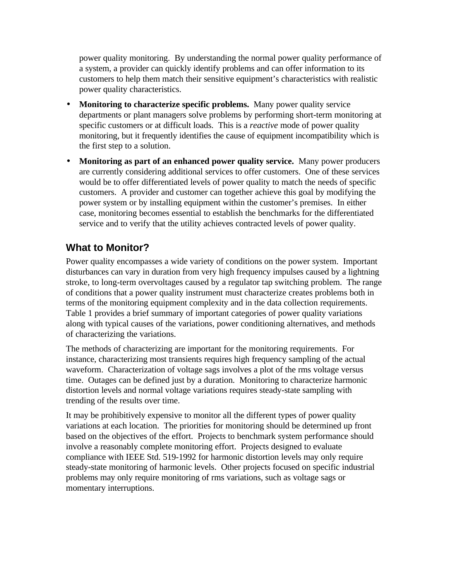power quality monitoring. By understanding the normal power quality performance of a system, a provider can quickly identify problems and can offer information to its customers to help them match their sensitive equipment's characteristics with realistic power quality characteristics.

- **Monitoring to characterize specific problems.** Many power quality service departments or plant managers solve problems by performing short-term monitoring at specific customers or at difficult loads. This is a *reactive* mode of power quality monitoring, but it frequently identifies the cause of equipment incompatibility which is the first step to a solution.
- **Monitoring as part of an enhanced power quality service.** Many power producers are currently considering additional services to offer customers. One of these services would be to offer differentiated levels of power quality to match the needs of specific customers. A provider and customer can together achieve this goal by modifying the power system or by installing equipment within the customer's premises. In either case, monitoring becomes essential to establish the benchmarks for the differentiated service and to verify that the utility achieves contracted levels of power quality.

# **What to Monitor?**

Power quality encompasses a wide variety of conditions on the power system. Important disturbances can vary in duration from very high frequency impulses caused by a lightning stroke, to long-term overvoltages caused by a regulator tap switching problem. The range of conditions that a power quality instrument must characterize creates problems both in terms of the monitoring equipment complexity and in the data collection requirements. Table 1 provides a brief summary of important categories of power quality variations along with typical causes of the variations, power conditioning alternatives, and methods of characterizing the variations.

The methods of characterizing are important for the monitoring requirements. For instance, characterizing most transients requires high frequency sampling of the actual waveform. Characterization of voltage sags involves a plot of the rms voltage versus time. Outages can be defined just by a duration. Monitoring to characterize harmonic distortion levels and normal voltage variations requires steady-state sampling with trending of the results over time.

It may be prohibitively expensive to monitor all the different types of power quality variations at each location. The priorities for monitoring should be determined up front based on the objectives of the effort. Projects to benchmark system performance should involve a reasonably complete monitoring effort. Projects designed to evaluate compliance with IEEE Std. 519-1992 for harmonic distortion levels may only require steady-state monitoring of harmonic levels. Other projects focused on specific industrial problems may only require monitoring of rms variations, such as voltage sags or momentary interruptions.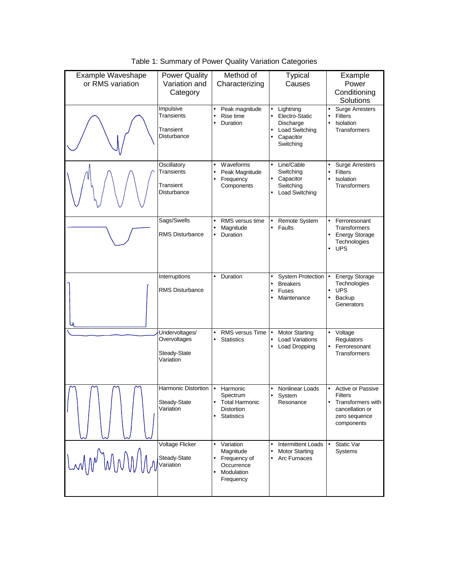| Example Waveshape<br>or RMS variation | <b>Power Quality</b><br>Variation and<br>Category           | Method of<br>Characterizing                                                                          | <b>Typical</b><br>Causes                                                                                            | Example<br>Power<br>Conditioning<br>Solutions                                                                                |
|---------------------------------------|-------------------------------------------------------------|------------------------------------------------------------------------------------------------------|---------------------------------------------------------------------------------------------------------------------|------------------------------------------------------------------------------------------------------------------------------|
|                                       | Impulsive<br>Transients<br>Transient<br>Disturbance         | Peak magnitude<br>Rise time<br>Duration<br>$\bullet$                                                 | Lightning<br>٠<br>Electro-Static<br>Discharge<br>Load Switching<br>$\bullet$<br>Capacitor<br>$\bullet$<br>Switching | <b>Surge Arresters</b><br>$\bullet$<br><b>Filters</b><br>Isolation<br>$\bullet$<br>Transformers                              |
|                                       | Oscillatory<br>Transients<br>Transient<br>Disturbance       | Waveforms<br>٠<br>Peak Magnitude<br>Frequency<br>Components                                          | Line/Cable<br>٠<br>Switching<br>• Capacitor<br>Switching<br>Load Switching<br>٠                                     | <b>Surge Arresters</b><br><b>Filters</b><br>$\bullet$<br>Isolation<br>$\bullet$<br>Transformers                              |
|                                       | Sags/Swells<br><b>RMS Disturbance</b>                       | RMS versus time<br>$\bullet$<br>Magnitude<br>$\bullet$<br>Duration                                   | Remote System<br>Faults<br>$\bullet$                                                                                | $\bullet$<br>Ferroresonant<br>Transformers<br><b>Energy Storage</b><br>Technologies<br><b>UPS</b><br>$\bullet$               |
|                                       | Interruptions<br><b>RMS Disturbance</b>                     | Duration<br>$\bullet$                                                                                | <b>System Protection</b><br>$\bullet$<br><b>Breakers</b><br>$\bullet$<br><b>Fuses</b><br>$\bullet$<br>Maintenance   | <b>Energy Storage</b><br>$\bullet$<br>Technologies<br><b>UPS</b><br>$\bullet$<br>Backup<br>$\bullet$<br>Generators           |
|                                       | Undervoltages/<br>Overvoltages<br>Steady-State<br>Variation | RMS versus Time<br><b>Statistics</b>                                                                 | <b>Motor Starting</b><br>$\bullet$<br><b>Load Variations</b><br>Load Dropping<br>$\bullet$                          | Voltage<br>٠<br>Regulators<br>Ferroresonant<br>٠<br>Transformers                                                             |
|                                       | Harmonic Distortion<br>Steady-State<br>Variation            | Harmonic<br>$\bullet$<br>Spectrum<br><b>Total Harmonic</b><br><b>Distortion</b><br><b>Statistics</b> | Nonlinear Loads<br>System<br>Resonance                                                                              | Active or Passive<br>$\bullet$<br><b>Filters</b><br>Transformers with<br>٠<br>cancellation or<br>zero sequence<br>components |
|                                       | Voltage Flicker<br>Steady-State<br>Variation                | Variation<br>$\bullet$<br>Magnitude<br>Frequency of<br>Occurrence<br>Modulation<br>Frequency         | <b>Intermittent Loads</b><br>$\bullet$<br><b>Motor Starting</b><br>$\bullet$<br>Arc Furnaces                        | Static Var<br>$\bullet$<br>Systems                                                                                           |

Table 1: Summary of Power Quality Variation Categories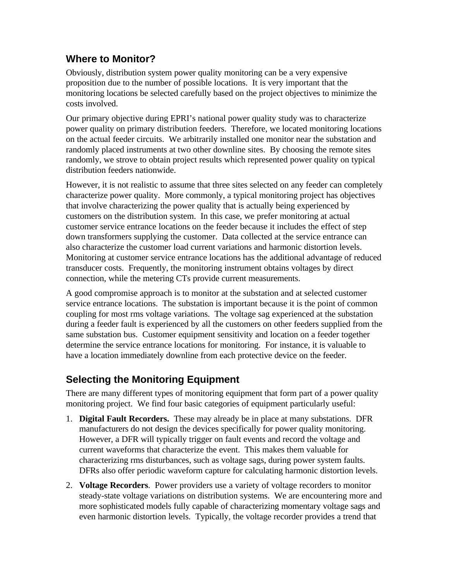## **Where to Monitor?**

Obviously, distribution system power quality monitoring can be a very expensive proposition due to the number of possible locations. It is very important that the monitoring locations be selected carefully based on the project objectives to minimize the costs involved.

Our primary objective during EPRI's national power quality study was to characterize power quality on primary distribution feeders. Therefore, we located monitoring locations on the actual feeder circuits. We arbitrarily installed one monitor near the substation and randomly placed instruments at two other downline sites. By choosing the remote sites randomly, we strove to obtain project results which represented power quality on typical distribution feeders nationwide.

However, it is not realistic to assume that three sites selected on any feeder can completely characterize power quality. More commonly, a typical monitoring project has objectives that involve characterizing the power quality that is actually being experienced by customers on the distribution system. In this case, we prefer monitoring at actual customer service entrance locations on the feeder because it includes the effect of step down transformers supplying the customer. Data collected at the service entrance can also characterize the customer load current variations and harmonic distortion levels. Monitoring at customer service entrance locations has the additional advantage of reduced transducer costs. Frequently, the monitoring instrument obtains voltages by direct connection, while the metering CTs provide current measurements.

A good compromise approach is to monitor at the substation and at selected customer service entrance locations. The substation is important because it is the point of common coupling for most rms voltage variations. The voltage sag experienced at the substation during a feeder fault is experienced by all the customers on other feeders supplied from the same substation bus. Customer equipment sensitivity and location on a feeder together determine the service entrance locations for monitoring. For instance, it is valuable to have a location immediately downline from each protective device on the feeder.

## **Selecting the Monitoring Equipment**

There are many different types of monitoring equipment that form part of a power quality monitoring project. We find four basic categories of equipment particularly useful:

- 1. **Digital Fault Recorders.** These may already be in place at many substations. DFR manufacturers do not design the devices specifically for power quality monitoring. However, a DFR will typically trigger on fault events and record the voltage and current waveforms that characterize the event. This makes them valuable for characterizing rms disturbances, such as voltage sags, during power system faults. DFRs also offer periodic waveform capture for calculating harmonic distortion levels.
- 2. **Voltage Recorders**. Power providers use a variety of voltage recorders to monitor steady-state voltage variations on distribution systems. We are encountering more and more sophisticated models fully capable of characterizing momentary voltage sags and even harmonic distortion levels. Typically, the voltage recorder provides a trend that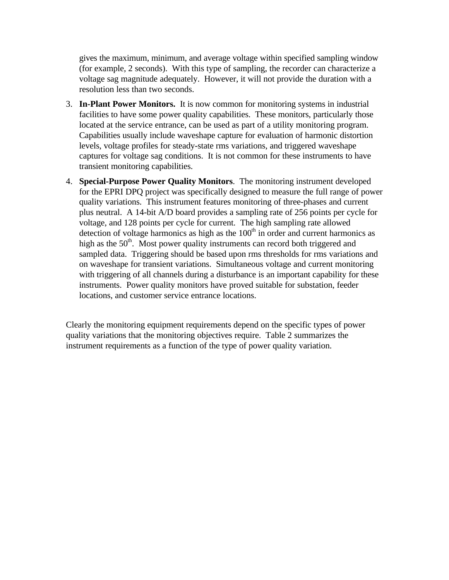gives the maximum, minimum, and average voltage within specified sampling window (for example, 2 seconds). With this type of sampling, the recorder can characterize a voltage sag magnitude adequately. However, it will not provide the duration with a resolution less than two seconds.

- 3. **In-Plant Power Monitors.** It is now common for monitoring systems in industrial facilities to have some power quality capabilities. These monitors, particularly those located at the service entrance, can be used as part of a utility monitoring program. Capabilities usually include waveshape capture for evaluation of harmonic distortion levels, voltage profiles for steady-state rms variations, and triggered waveshape captures for voltage sag conditions. It is not common for these instruments to have transient monitoring capabilities.
- 4. **Special-Purpose Power Quality Monitors**. The monitoring instrument developed for the EPRI DPQ project was specifically designed to measure the full range of power quality variations. This instrument features monitoring of three-phases and current plus neutral. A 14-bit A/D board provides a sampling rate of 256 points per cycle for voltage, and 128 points per cycle for current. The high sampling rate allowed detection of voltage harmonics as high as the  $100<sup>th</sup>$  in order and current harmonics as high as the 50<sup>th</sup>. Most power quality instruments can record both triggered and sampled data. Triggering should be based upon rms thresholds for rms variations and on waveshape for transient variations. Simultaneous voltage and current monitoring with triggering of all channels during a disturbance is an important capability for these instruments. Power quality monitors have proved suitable for substation, feeder locations, and customer service entrance locations.

Clearly the monitoring equipment requirements depend on the specific types of power quality variations that the monitoring objectives require. Table 2 summarizes the instrument requirements as a function of the type of power quality variation.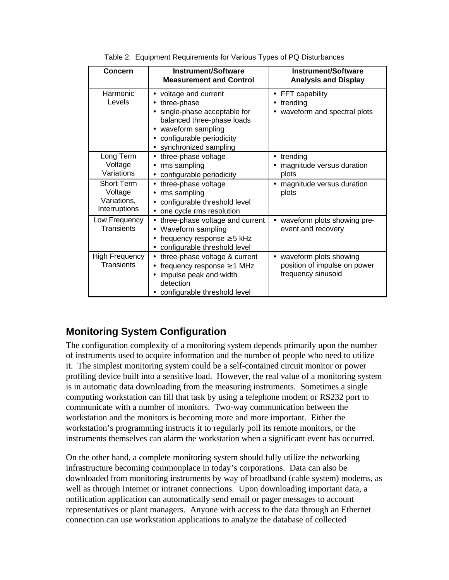| Concern                                                      | <b>Instrument/Software</b><br><b>Measurement and Control</b>                                                                                                                                             | <b>Instrument/Software</b><br><b>Analysis and Display</b>                      |  |  |
|--------------------------------------------------------------|----------------------------------------------------------------------------------------------------------------------------------------------------------------------------------------------------------|--------------------------------------------------------------------------------|--|--|
| Harmonic<br>Levels                                           | voltage and current<br>٠<br>three-phase<br>$\bullet$<br>single-phase acceptable for<br>balanced three-phase loads<br>waveform sampling<br>configurable periodicity<br>synchronized sampling<br>$\bullet$ | FFT capability<br>$\bullet$<br>trending<br>waveform and spectral plots         |  |  |
| Long Term<br>Voltage<br>Variations                           | three-phase voltage<br>$\bullet$<br>rms sampling<br>$\bullet$<br>configurable periodicity<br>$\bullet$                                                                                                   | trending<br>magnitude versus duration<br>plots                                 |  |  |
| <b>Short Term</b><br>Voltage<br>Variations,<br>Interruptions | three-phase voltage<br>$\bullet$<br>rms sampling<br>configurable threshold level<br>one cycle rms resolution                                                                                             | • magnitude versus duration<br>plots                                           |  |  |
| Low Frequency<br><b>Transients</b>                           | three-phase voltage and current<br>$\bullet$<br>Waveform sampling<br>frequency response $\geq$ 5 kHz<br>configurable threshold level<br>$\bullet$                                                        | waveform plots showing pre-<br>event and recovery                              |  |  |
| High Frequency<br><b>Transients</b>                          | three-phase voltage & current<br>$\bullet$<br>frequency response $\geq 1$ MHz<br>$\bullet$<br>impulse peak and width<br>detection<br>configurable threshold level                                        | • waveform plots showing<br>position of impulse on power<br>frequency sinusoid |  |  |

|  |  | Table 2. Equipment Requirements for Various Types of PQ Disturbances |  |
|--|--|----------------------------------------------------------------------|--|
|  |  |                                                                      |  |

## **Monitoring System Configuration**

The configuration complexity of a monitoring system depends primarily upon the number of instruments used to acquire information and the number of people who need to utilize it. The simplest monitoring system could be a self-contained circuit monitor or power profiling device built into a sensitive load. However, the real value of a monitoring system is in automatic data downloading from the measuring instruments. Sometimes a single computing workstation can fill that task by using a telephone modem or RS232 port to communicate with a number of monitors. Two-way communication between the workstation and the monitors is becoming more and more important. Either the workstation's programming instructs it to regularly poll its remote monitors, or the instruments themselves can alarm the workstation when a significant event has occurred.

On the other hand, a complete monitoring system should fully utilize the networking infrastructure becoming commonplace in today's corporations. Data can also be downloaded from monitoring instruments by way of broadband (cable system) modems, as well as through Internet or intranet connections. Upon downloading important data, a notification application can automatically send email or pager messages to account representatives or plant managers. Anyone with access to the data through an Ethernet connection can use workstation applications to analyze the database of collected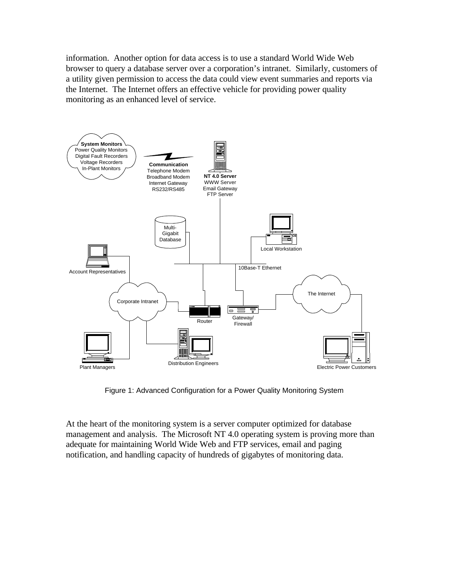information. Another option for data access is to use a standard World Wide Web browser to query a database server over a corporation's intranet. Similarly, customers of a utility given permission to access the data could view event summaries and reports via the Internet. The Internet offers an effective vehicle for providing power quality monitoring as an enhanced level of service.



Figure 1: Advanced Configuration for a Power Quality Monitoring System

At the heart of the monitoring system is a server computer optimized for database management and analysis. The Microsoft NT 4.0 operating system is proving more than adequate for maintaining World Wide Web and FTP services, email and paging notification, and handling capacity of hundreds of gigabytes of monitoring data.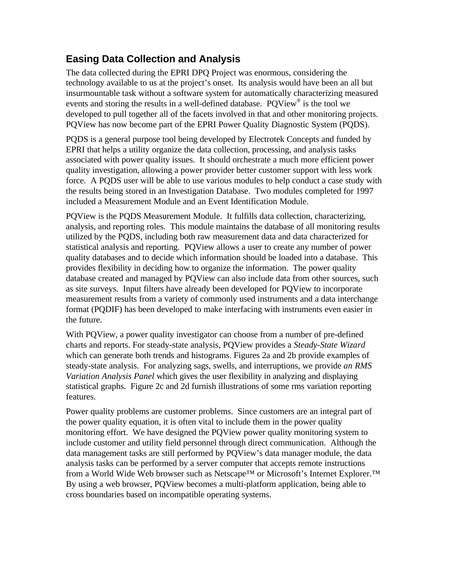## **Easing Data Collection and Analysis**

The data collected during the EPRI DPQ Project was enormous, considering the technology available to us at the project's onset. Its analysis would have been an all but insurmountable task without a software system for automatically characterizing measured events and storing the results in a well-defined database. PQView® is the tool we developed to pull together all of the facets involved in that and other monitoring projects. PQView has now become part of the EPRI Power Quality Diagnostic System (PQDS).

PQDS is a general purpose tool being developed by Electrotek Concepts and funded by EPRI that helps a utility organize the data collection, processing, and analysis tasks associated with power quality issues. It should orchestrate a much more efficient power quality investigation, allowing a power provider better customer support with less work force. A PQDS user will be able to use various modules to help conduct a case study with the results being stored in an Investigation Database. Two modules completed for 1997 included a Measurement Module and an Event Identification Module.

PQView is the PQDS Measurement Module. It fulfills data collection, characterizing, analysis, and reporting roles. This module maintains the database of all monitoring results utilized by the PQDS, including both raw measurement data and data characterized for statistical analysis and reporting. PQView allows a user to create any number of power quality databases and to decide which information should be loaded into a database. This provides flexibility in deciding how to organize the information. The power quality database created and managed by PQView can also include data from other sources, such as site surveys. Input filters have already been developed for PQView to incorporate measurement results from a variety of commonly used instruments and a data interchange format (PQDIF) has been developed to make interfacing with instruments even easier in the future.

With PQView, a power quality investigator can choose from a number of pre-defined charts and reports. For steady-state analysis, PQView provides a *Steady-State Wizard* which can generate both trends and histograms. Figures 2a and 2b provide examples of steady-state analysis. For analyzing sags, swells, and interruptions, we provide *an RMS Variation Analysis Panel* which gives the user flexibility in analyzing and displaying statistical graphs. Figure 2c and 2d furnish illustrations of some rms variation reporting features.

Power quality problems are customer problems. Since customers are an integral part of the power quality equation, it is often vital to include them in the power quality monitoring effort. We have designed the PQView power quality monitoring system to include customer and utility field personnel through direct communication. Although the data management tasks are still performed by PQView's data manager module, the data analysis tasks can be performed by a server computer that accepts remote instructions from a World Wide Web browser such as Netscape<sup>™</sup> or Microsoft's Internet Explorer.<sup>™</sup> By using a web browser, PQView becomes a multi-platform application, being able to cross boundaries based on incompatible operating systems.